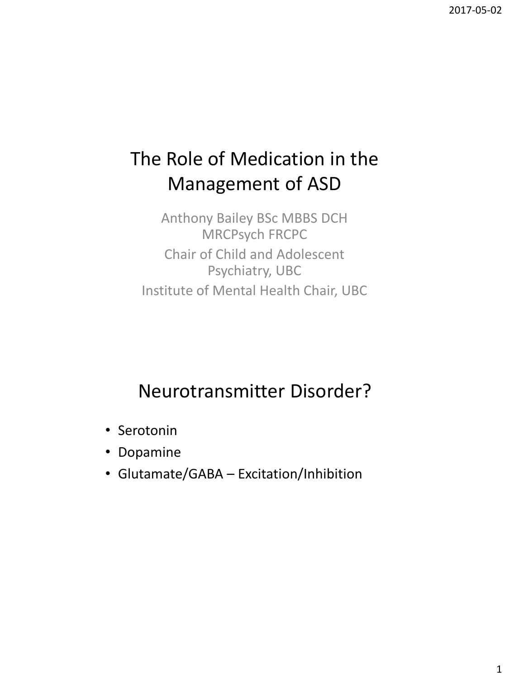# The Role of Medication in the Management of ASD

Anthony Bailey BSc MBBS DCH MRCPsych FRCPC Chair of Child and Adolescent Psychiatry, UBC Institute of Mental Health Chair, UBC

# Neurotransmitter Disorder?

- Serotonin
- Dopamine
- Glutamate/GABA Excitation/Inhibition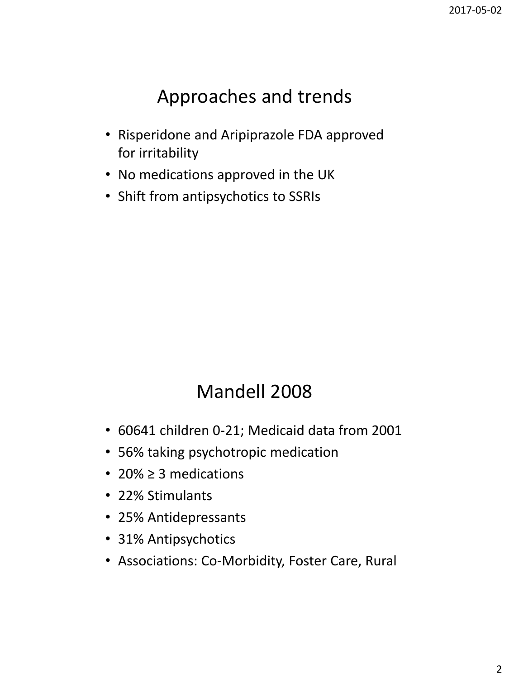### Approaches and trends

- Risperidone and Aripiprazole FDA approved for irritability
- No medications approved in the UK
- Shift from antipsychotics to SSRIs

## Mandell 2008

- 60641 children 0-21; Medicaid data from 2001
- 56% taking psychotropic medication
- 20% ≥ 3 medications
- 22% Stimulants
- 25% Antidepressants
- 31% Antipsychotics
- Associations: Co-Morbidity, Foster Care, Rural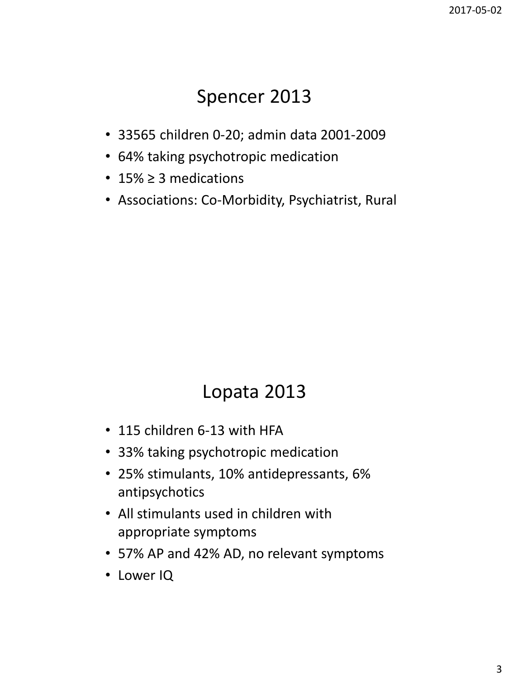#### Spencer 2013

- 33565 children 0-20; admin data 2001-2009
- 64% taking psychotropic medication
- 15% ≥ 3 medications
- Associations: Co-Morbidity, Psychiatrist, Rural

## Lopata 2013

- 115 children 6-13 with HFA
- 33% taking psychotropic medication
- 25% stimulants, 10% antidepressants, 6% antipsychotics
- All stimulants used in children with appropriate symptoms
- 57% AP and 42% AD, no relevant symptoms
- Lower IQ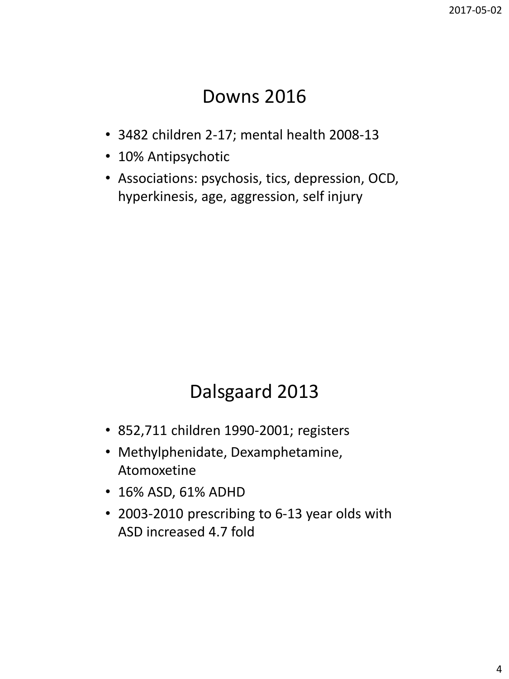#### Downs 2016

- 3482 children 2-17; mental health 2008-13
- 10% Antipsychotic
- Associations: psychosis, tics, depression, OCD, hyperkinesis, age, aggression, self injury

# Dalsgaard 2013

- 852,711 children 1990-2001; registers
- Methylphenidate, Dexamphetamine, Atomoxetine
- 16% ASD, 61% ADHD
- 2003-2010 prescribing to 6-13 year olds with ASD increased 4.7 fold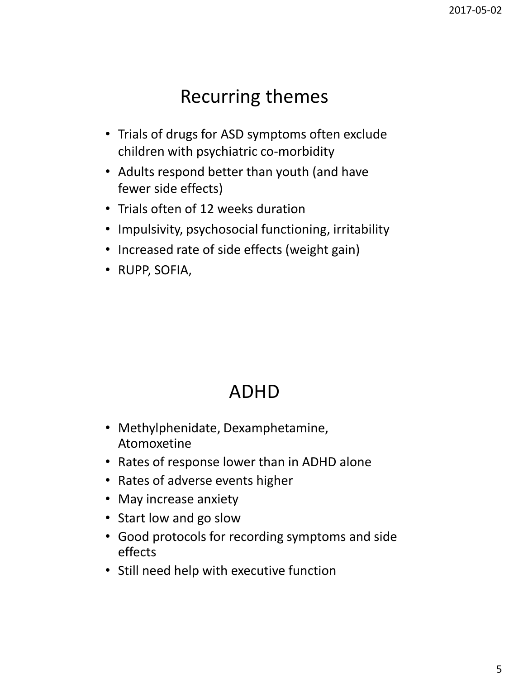### Recurring themes

- Trials of drugs for ASD symptoms often exclude children with psychiatric co-morbidity
- Adults respond better than youth (and have fewer side effects)
- Trials often of 12 weeks duration
- Impulsivity, psychosocial functioning, irritability
- Increased rate of side effects (weight gain)
- RUPP, SOFIA,

#### ADHD

- Methylphenidate, Dexamphetamine, Atomoxetine
- Rates of response lower than in ADHD alone
- Rates of adverse events higher
- May increase anxiety
- Start low and go slow
- Good protocols for recording symptoms and side effects
- Still need help with executive function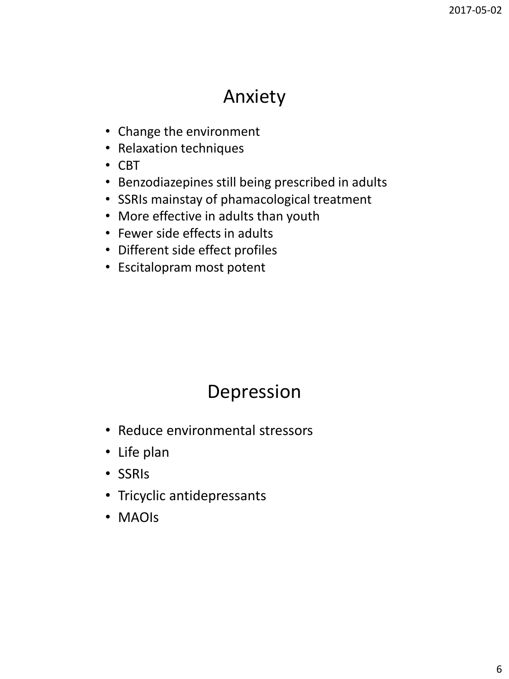### Anxiety

- Change the environment
- Relaxation techniques
- CBT
- Benzodiazepines still being prescribed in adults
- SSRIs mainstay of phamacological treatment
- More effective in adults than youth
- Fewer side effects in adults
- Different side effect profiles
- Escitalopram most potent

## Depression

- Reduce environmental stressors
- Life plan
- SSRIs
- Tricyclic antidepressants
- MAOIs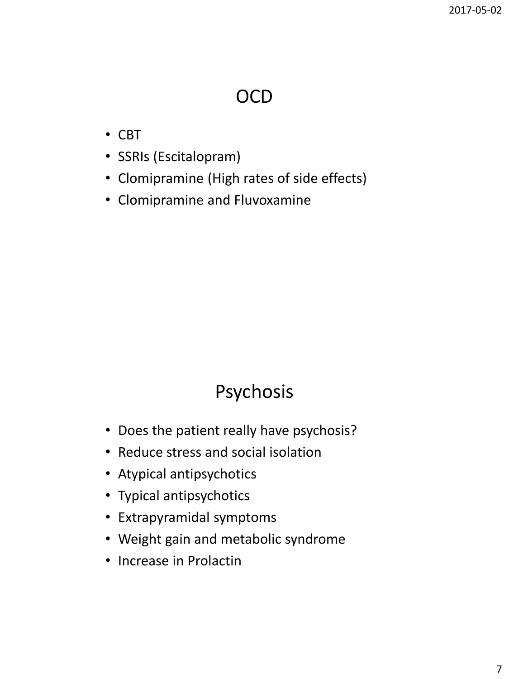### OCD

- CBT
- SSRIs (Escitalopram)
- Clomipramine (High rates of side effects)
- Clomipramine and Fluvoxamine

# Psychosis

- Does the patient really have psychosis?
- Reduce stress and social isolation
- Atypical antipsychotics
- Typical antipsychotics
- Extrapyramidal symptoms
- Weight gain and metabolic syndrome
- Increase in Prolactin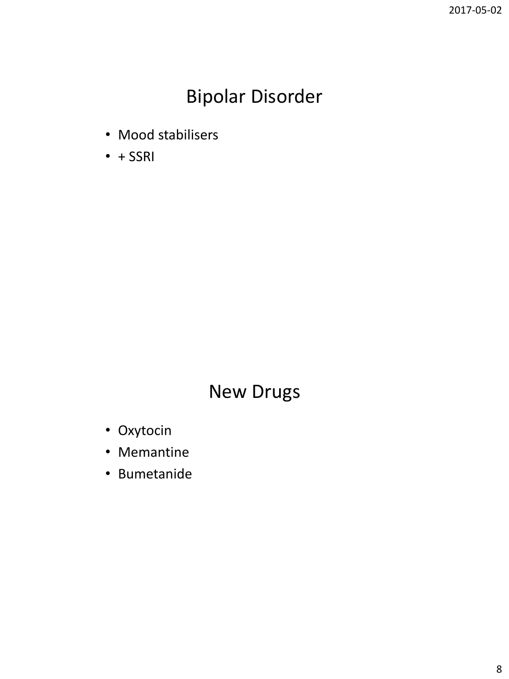## Bipolar Disorder

- Mood stabilisers
- $+ SSRI$

### New Drugs

- Oxytocin
- Memantine
- Bumetanide